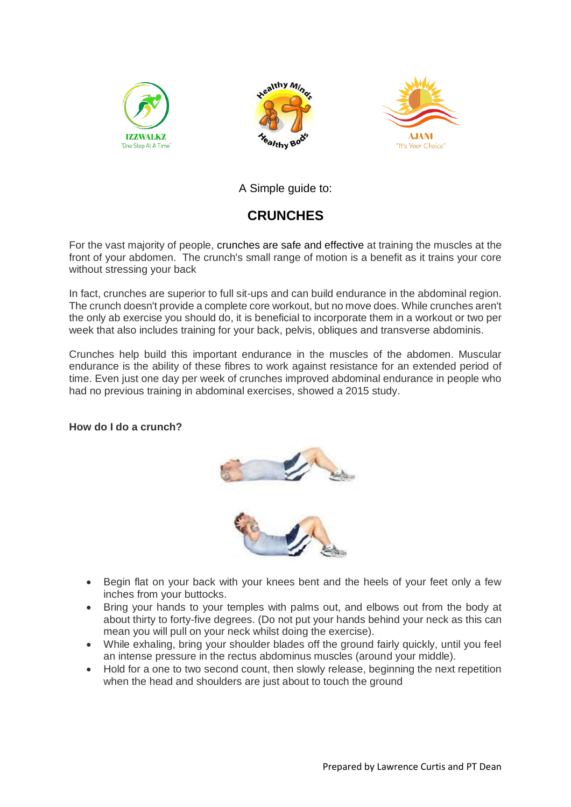





A Simple guide to:

## **CRUNCHES**

For the vast majority of people, crunches are safe and effective at training the muscles at the front of your abdomen. The crunch's small range of motion is a benefit as it trains your core without stressing your back

In fact, crunches are superior to full sit-ups and can build endurance in the abdominal region. The crunch doesn't provide a complete core workout, but no move does. While crunches aren't the only ab exercise you should do, it is beneficial to incorporate them in a workout or two per week that also includes training for your back, pelvis, obliques and transverse abdominis.

Crunches help build this important endurance in the muscles of the abdomen. Muscular endurance is the ability of these fibres to work against resistance for an extended period of time. Even just one day per week of crunches improved abdominal endurance in people who had no previous training in abdominal exercises, showed a 2015 study.

## **How do I do a crunch?**





- Begin flat on your back with your knees bent and the heels of your feet only a few inches from your buttocks.
- Bring your hands to your temples with palms out, and elbows out from the body at about thirty to forty-five degrees. (Do not put your hands behind your neck as this can mean you will pull on your neck whilst doing the exercise).
- While exhaling, bring your shoulder blades off the ground fairly quickly, until you feel an intense pressure in the rectus abdominus muscles (around your middle).
- Hold for a one to two second count, then slowly release, beginning the next repetition when the head and shoulders are just about to touch the ground